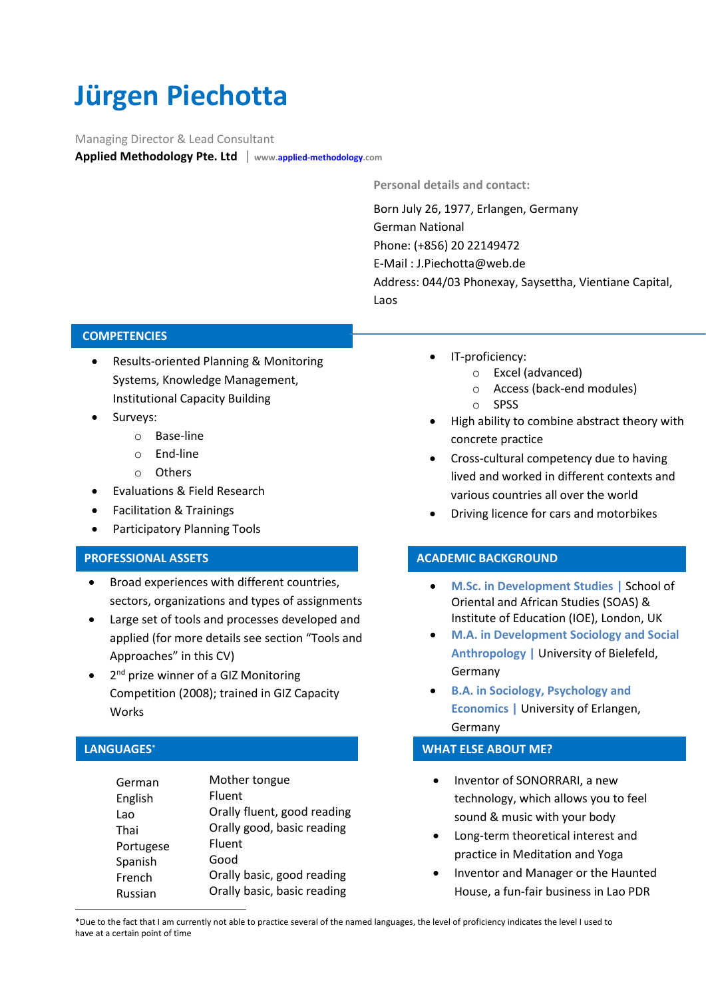# **Jürgen Piechotta**

Managing Director & Lead Consultant

**Applied Methodology Pte. Ltd** | **[www.applied-methodology.com](http://www.applied-methodology.com/)**

**Personal details and contact:**

Born July 26, 1977, Erlangen, Germany German National Phone: (+856) 20 22149472 E-Mail : [J.Piechotta@web.de](mailto:J.Piechotta@web.de) Address: 044/03 Phonexay, Saysettha, Vientiane Capital, Laos

## **COMPETENCIES**

- Results-oriented Planning & Monitoring Systems, Knowledge Management, Institutional Capacity Building
	- Surveys:
		- o Base-line
		- o End-line
		- o Others
	- Evaluations & Field Research
	- Facilitation & Trainings
	- Participatory Planning Tools

# • Development of Methodologies • Business Management Consulting **PROFESSIONAL ASSETS**

- sectors, organizations and types of assignments • Broad experiences with different countries,
- Large set of tools and processes developed and applied (for more details see section "Tools and Approaches" in this CV)
- 2<sup>nd</sup> prize winner of a GIZ Monitoring Competition (2008); trained in GIZ Capacity Works

#### **LANGUAGES<sup>\*</sup>** English Fluent

| German<br>English<br>Lao<br>Thai<br>Portugese<br>Spanish<br>French<br>Russian | Mother tongue<br>Fluent<br>Orally fluent, good reading<br>Orally good, basic reading<br><b>Fluent</b><br>Good<br>Orally basic, good reading<br>Orally basic, basic reading | $\bullet$<br>$\bullet$<br>$\bullet$ | Inventor of SONORRARI, a new<br>technology, which allows you to<br>sound & music with your body<br>Long-term theoretical interest a<br>practice in Meditation and Yoga<br>Inventor and Manager or the H<br>House, a fun-fair business in La |
|-------------------------------------------------------------------------------|----------------------------------------------------------------------------------------------------------------------------------------------------------------------------|-------------------------------------|---------------------------------------------------------------------------------------------------------------------------------------------------------------------------------------------------------------------------------------------|
|-------------------------------------------------------------------------------|----------------------------------------------------------------------------------------------------------------------------------------------------------------------------|-------------------------------------|---------------------------------------------------------------------------------------------------------------------------------------------------------------------------------------------------------------------------------------------|

- IT-proficiency:
	- o Excel (advanced)
	- o Access (back-end modules)
	- o SPSS
- High ability to combine abstract theory with concrete practice
- Cross-cultural competency due to having lived and worked in different contexts and various countries all over the world
- Driving licence for cars and motorbikes

#### • IT-proficiency: **ACADEMIC BACKGROUND**

- **M.Sc. in Development Studies | School of** Oriental and African Studies (SOAS) & Institute of Education (IOE), London, UK **ACCEPT MICHOLOGIC** 
	- M.A. in Development Sociology and Social **Anthropology | University of Bielefeld,** Germany
	- **B.A. in Sociology, Psychology and Economics |** University of Erlangen, Germany

## **WHAT ELSE ABOUT ME?**

- technology, which allows you to feel sound & music with your body
- Long-term theoretical interest and practice in Meditation and Yoga
- Inventor and Manager or the Haunted House, a fun-fair business in Lao PDR

\*Due to the fact that I am currently not able to practice several of the named languages, the level of proficiency indicates the level I used to have at a certain point of time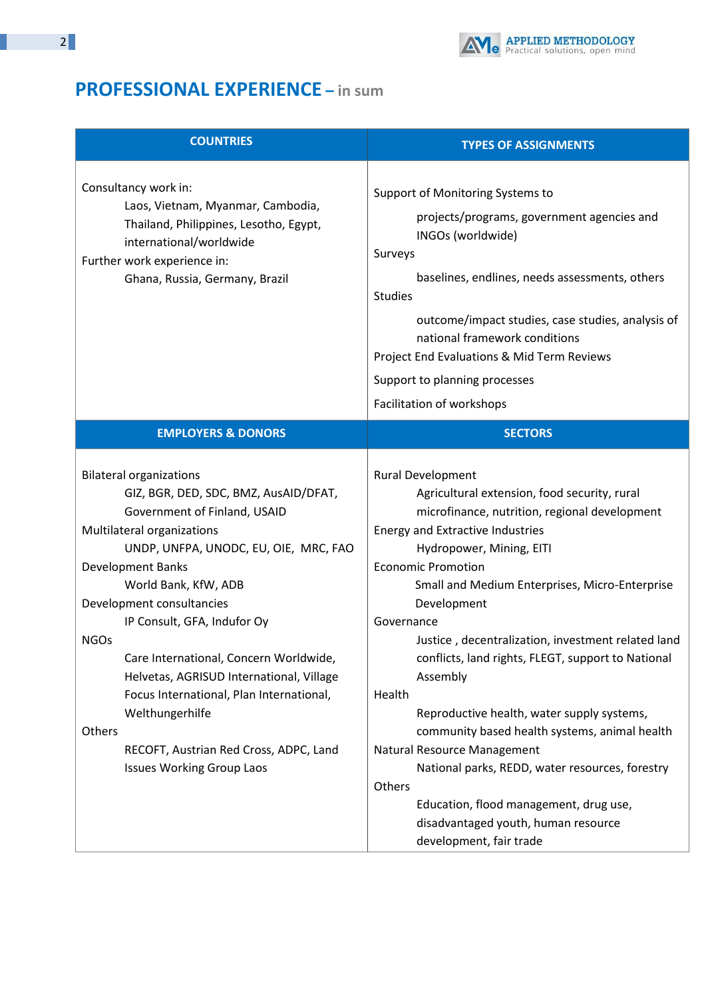

# **PROFESSIONAL EXPERIENCE – in sum**

| <b>COUNTRIES</b>                                                                                                                                                                                                                                                                                                                                                                                                                                                                                                                                    | <b>TYPES OF ASSIGNMENTS</b>                                                                                                                                                                                                                                                                                                                                                                                                                                                                                                                                                                                                                                                                                                             |
|-----------------------------------------------------------------------------------------------------------------------------------------------------------------------------------------------------------------------------------------------------------------------------------------------------------------------------------------------------------------------------------------------------------------------------------------------------------------------------------------------------------------------------------------------------|-----------------------------------------------------------------------------------------------------------------------------------------------------------------------------------------------------------------------------------------------------------------------------------------------------------------------------------------------------------------------------------------------------------------------------------------------------------------------------------------------------------------------------------------------------------------------------------------------------------------------------------------------------------------------------------------------------------------------------------------|
| Consultancy work in:<br>Laos, Vietnam, Myanmar, Cambodia,<br>Thailand, Philippines, Lesotho, Egypt,<br>international/worldwide<br>Further work experience in:<br>Ghana, Russia, Germany, Brazil                                                                                                                                                                                                                                                                                                                                                     | Support of Monitoring Systems to<br>projects/programs, government agencies and<br>INGOs (worldwide)<br>Surveys<br>baselines, endlines, needs assessments, others<br><b>Studies</b><br>outcome/impact studies, case studies, analysis of<br>national framework conditions<br>Project End Evaluations & Mid Term Reviews<br>Support to planning processes<br>Facilitation of workshops                                                                                                                                                                                                                                                                                                                                                    |
| <b>EMPLOYERS &amp; DONORS</b>                                                                                                                                                                                                                                                                                                                                                                                                                                                                                                                       | <b>SECTORS</b>                                                                                                                                                                                                                                                                                                                                                                                                                                                                                                                                                                                                                                                                                                                          |
| <b>Bilateral organizations</b><br>GIZ, BGR, DED, SDC, BMZ, AusAID/DFAT,<br>Government of Finland, USAID<br>Multilateral organizations<br>UNDP, UNFPA, UNODC, EU, OIE, MRC, FAO<br>Development Banks<br>World Bank, KfW, ADB<br>Development consultancies<br>IP Consult, GFA, Indufor Oy<br><b>NGOs</b><br>Care International, Concern Worldwide,<br>Helvetas, AGRISUD International, Village<br>Focus International, Plan International,<br>Welthungerhilfe<br>Others<br>RECOFT, Austrian Red Cross, ADPC, Land<br><b>Issues Working Group Laos</b> | Rural Development<br>Agricultural extension, food security, rural<br>microfinance, nutrition, regional development<br>Energy and Extractive Industries<br>Hydropower, Mining, EITI<br><b>Economic Promotion</b><br>Small and Medium Enterprises, Micro-Enterprise<br>Development<br>Governance<br>Justice, decentralization, investment related land<br>conflicts, land rights, FLEGT, support to National<br>Assembly<br>Health<br>Reproductive health, water supply systems,<br>community based health systems, animal health<br>Natural Resource Management<br>National parks, REDD, water resources, forestry<br>Others<br>Education, flood management, drug use,<br>disadvantaged youth, human resource<br>development, fair trade |

Ţ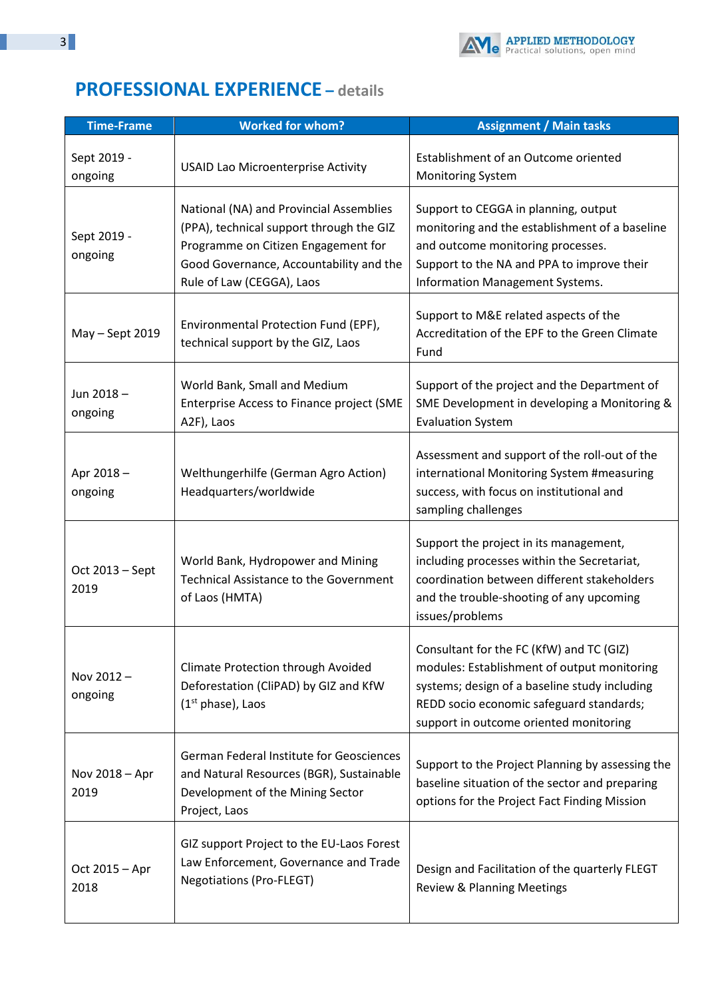

# **PROFESSIONAL EXPERIENCE – details**

| <b>Time-Frame</b>       | <b>Worked for whom?</b>                                                                                                                                                                            | <b>Assignment / Main tasks</b>                                                                                                                                                                                                 |
|-------------------------|----------------------------------------------------------------------------------------------------------------------------------------------------------------------------------------------------|--------------------------------------------------------------------------------------------------------------------------------------------------------------------------------------------------------------------------------|
| Sept 2019 -<br>ongoing  | <b>USAID Lao Microenterprise Activity</b>                                                                                                                                                          | Establishment of an Outcome oriented<br><b>Monitoring System</b>                                                                                                                                                               |
| Sept 2019 -<br>ongoing  | National (NA) and Provincial Assemblies<br>(PPA), technical support through the GIZ<br>Programme on Citizen Engagement for<br>Good Governance, Accountability and the<br>Rule of Law (CEGGA), Laos | Support to CEGGA in planning, output<br>monitoring and the establishment of a baseline<br>and outcome monitoring processes.<br>Support to the NA and PPA to improve their<br>Information Management Systems.                   |
| May - Sept 2019         | Environmental Protection Fund (EPF),<br>technical support by the GIZ, Laos                                                                                                                         | Support to M&E related aspects of the<br>Accreditation of the EPF to the Green Climate<br>Fund                                                                                                                                 |
| Jun 2018-<br>ongoing    | World Bank, Small and Medium<br>Enterprise Access to Finance project (SME<br>A2F), Laos                                                                                                            | Support of the project and the Department of<br>SME Development in developing a Monitoring &<br><b>Evaluation System</b>                                                                                                       |
| Apr 2018-<br>ongoing    | Welthungerhilfe (German Agro Action)<br>Headquarters/worldwide                                                                                                                                     | Assessment and support of the roll-out of the<br>international Monitoring System #measuring<br>success, with focus on institutional and<br>sampling challenges                                                                 |
| Oct 2013 - Sept<br>2019 | World Bank, Hydropower and Mining<br><b>Technical Assistance to the Government</b><br>of Laos (HMTA)                                                                                               | Support the project in its management,<br>including processes within the Secretariat,<br>coordination between different stakeholders<br>and the trouble-shooting of any upcoming<br>issues/problems                            |
| Nov 2012-<br>ongoing    | <b>Climate Protection through Avoided</b><br>Deforestation (CliPAD) by GIZ and KfW<br>$(1st phase)$ , Laos                                                                                         | Consultant for the FC (KfW) and TC (GIZ)<br>modules: Establishment of output monitoring<br>systems; design of a baseline study including<br>REDD socio economic safeguard standards;<br>support in outcome oriented monitoring |
| Nov 2018 - Apr<br>2019  | German Federal Institute for Geosciences<br>and Natural Resources (BGR), Sustainable<br>Development of the Mining Sector<br>Project, Laos                                                          | Support to the Project Planning by assessing the<br>baseline situation of the sector and preparing<br>options for the Project Fact Finding Mission                                                                             |
| Oct 2015 - Apr<br>2018  | GIZ support Project to the EU-Laos Forest<br>Law Enforcement, Governance and Trade<br><b>Negotiations (Pro-FLEGT)</b>                                                                              | Design and Facilitation of the quarterly FLEGT<br><b>Review &amp; Planning Meetings</b>                                                                                                                                        |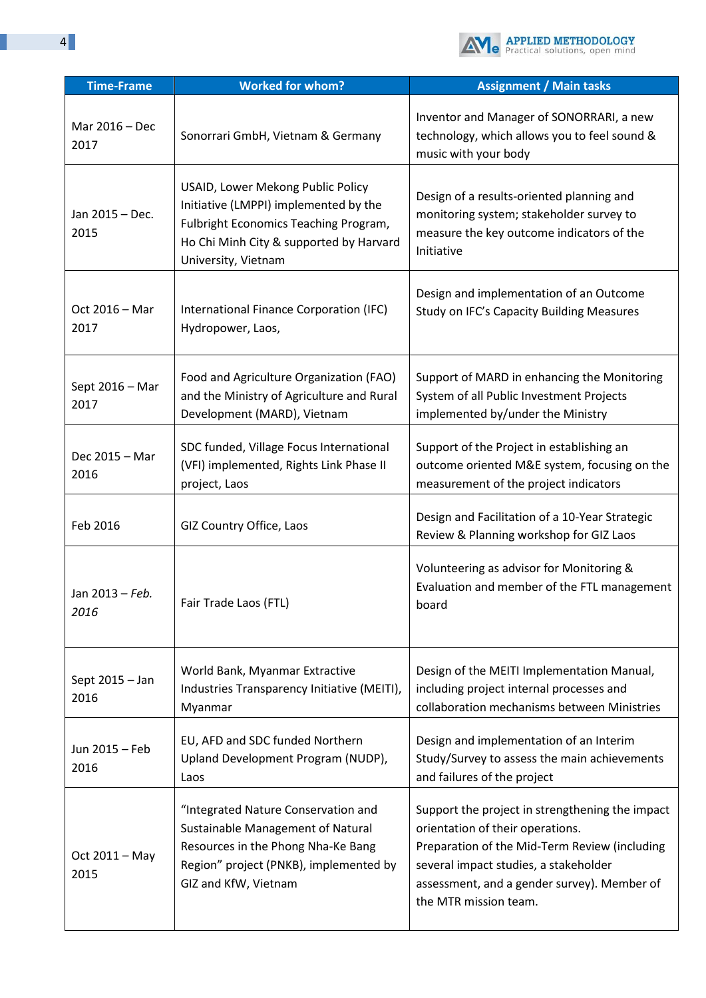

| <b>Time-Frame</b>       | <b>Worked for whom?</b>                                                                                                                                                               | <b>Assignment / Main tasks</b>                                                                                                                                                                                                                        |
|-------------------------|---------------------------------------------------------------------------------------------------------------------------------------------------------------------------------------|-------------------------------------------------------------------------------------------------------------------------------------------------------------------------------------------------------------------------------------------------------|
| Mar 2016 - Dec<br>2017  | Sonorrari GmbH, Vietnam & Germany                                                                                                                                                     | Inventor and Manager of SONORRARI, a new<br>technology, which allows you to feel sound &<br>music with your body                                                                                                                                      |
| Jan 2015 - Dec.<br>2015 | USAID, Lower Mekong Public Policy<br>Initiative (LMPPI) implemented by the<br>Fulbright Economics Teaching Program,<br>Ho Chi Minh City & supported by Harvard<br>University, Vietnam | Design of a results-oriented planning and<br>monitoring system; stakeholder survey to<br>measure the key outcome indicators of the<br>Initiative                                                                                                      |
| Oct 2016 - Mar<br>2017  | International Finance Corporation (IFC)<br>Hydropower, Laos,                                                                                                                          | Design and implementation of an Outcome<br>Study on IFC's Capacity Building Measures                                                                                                                                                                  |
| Sept 2016 - Mar<br>2017 | Food and Agriculture Organization (FAO)<br>and the Ministry of Agriculture and Rural<br>Development (MARD), Vietnam                                                                   | Support of MARD in enhancing the Monitoring<br>System of all Public Investment Projects<br>implemented by/under the Ministry                                                                                                                          |
| Dec 2015 - Mar<br>2016  | SDC funded, Village Focus International<br>(VFI) implemented, Rights Link Phase II<br>project, Laos                                                                                   | Support of the Project in establishing an<br>outcome oriented M&E system, focusing on the<br>measurement of the project indicators                                                                                                                    |
| Feb 2016                | GIZ Country Office, Laos                                                                                                                                                              | Design and Facilitation of a 10-Year Strategic<br>Review & Planning workshop for GIZ Laos                                                                                                                                                             |
| Jan 2013 - Feb.<br>2016 | Fair Trade Laos (FTL)                                                                                                                                                                 | Volunteering as advisor for Monitoring &<br>Evaluation and member of the FTL management<br>board                                                                                                                                                      |
| Sept 2015 - Jan<br>2016 | World Bank, Myanmar Extractive<br>Industries Transparency Initiative (MEITI),<br>Myanmar                                                                                              | Design of the MEITI Implementation Manual,<br>including project internal processes and<br>collaboration mechanisms between Ministries                                                                                                                 |
| Jun 2015 - Feb<br>2016  | EU, AFD and SDC funded Northern<br>Upland Development Program (NUDP),<br>Laos                                                                                                         | Design and implementation of an Interim<br>Study/Survey to assess the main achievements<br>and failures of the project                                                                                                                                |
| Oct 2011 - May<br>2015  | "Integrated Nature Conservation and<br>Sustainable Management of Natural<br>Resources in the Phong Nha-Ke Bang<br>Region" project (PNKB), implemented by<br>GIZ and KfW, Vietnam      | Support the project in strengthening the impact<br>orientation of their operations.<br>Preparation of the Mid-Term Review (including<br>several impact studies, a stakeholder<br>assessment, and a gender survey). Member of<br>the MTR mission team. |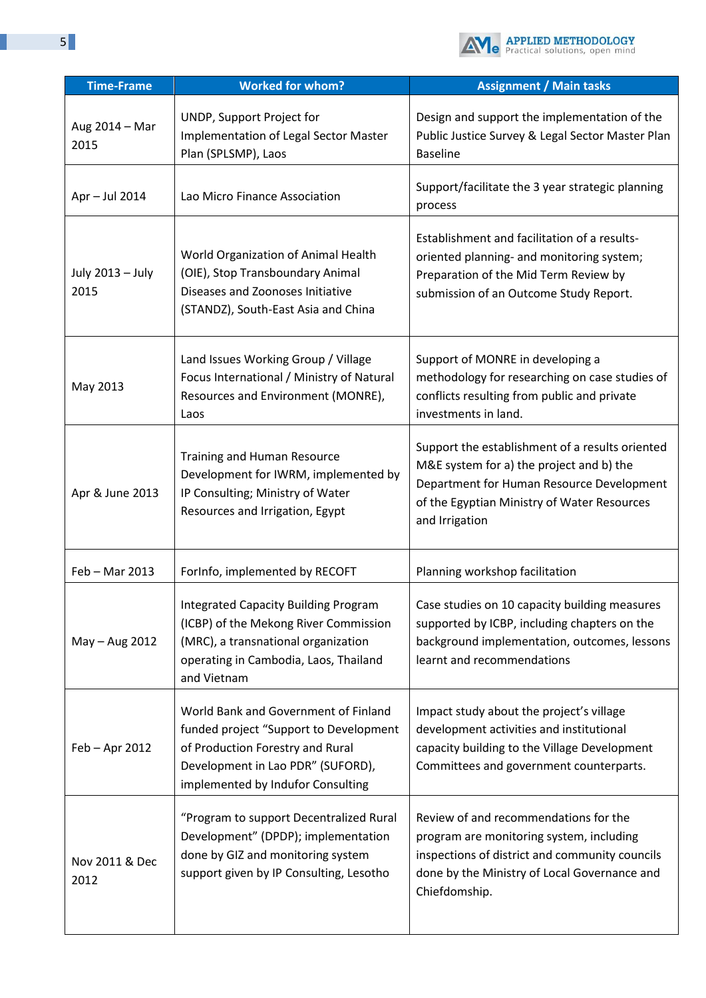

| <b>Time-Frame</b>        | <b>Worked for whom?</b>                                                                                                                                                                      | <b>Assignment / Main tasks</b>                                                                                                                                                                            |
|--------------------------|----------------------------------------------------------------------------------------------------------------------------------------------------------------------------------------------|-----------------------------------------------------------------------------------------------------------------------------------------------------------------------------------------------------------|
| Aug 2014 - Mar<br>2015   | UNDP, Support Project for<br>Implementation of Legal Sector Master<br>Plan (SPLSMP), Laos                                                                                                    | Design and support the implementation of the<br>Public Justice Survey & Legal Sector Master Plan<br><b>Baseline</b>                                                                                       |
| Apr - Jul 2014           | Lao Micro Finance Association                                                                                                                                                                | Support/facilitate the 3 year strategic planning<br>process                                                                                                                                               |
| July 2013 - July<br>2015 | World Organization of Animal Health<br>(OIE), Stop Transboundary Animal<br>Diseases and Zoonoses Initiative<br>(STANDZ), South-East Asia and China                                           | Establishment and facilitation of a results-<br>oriented planning- and monitoring system;<br>Preparation of the Mid Term Review by<br>submission of an Outcome Study Report.                              |
| May 2013                 | Land Issues Working Group / Village<br>Focus International / Ministry of Natural<br>Resources and Environment (MONRE),<br>Laos                                                               | Support of MONRE in developing a<br>methodology for researching on case studies of<br>conflicts resulting from public and private<br>investments in land.                                                 |
| Apr & June 2013          | <b>Training and Human Resource</b><br>Development for IWRM, implemented by<br>IP Consulting; Ministry of Water<br>Resources and Irrigation, Egypt                                            | Support the establishment of a results oriented<br>M&E system for a) the project and b) the<br>Department for Human Resource Development<br>of the Egyptian Ministry of Water Resources<br>and Irrigation |
| Feb - Mar 2013           | ForInfo, implemented by RECOFT                                                                                                                                                               | Planning workshop facilitation                                                                                                                                                                            |
| May - Aug 2012           | <b>Integrated Capacity Building Program</b><br>(ICBP) of the Mekong River Commission<br>(MRC), a transnational organization<br>operating in Cambodia, Laos, Thailand<br>and Vietnam          | Case studies on 10 capacity building measures<br>supported by ICBP, including chapters on the<br>background implementation, outcomes, lessons<br>learnt and recommendations                               |
| Feb - Apr 2012           | World Bank and Government of Finland<br>funded project "Support to Development<br>of Production Forestry and Rural<br>Development in Lao PDR" (SUFORD),<br>implemented by Indufor Consulting | Impact study about the project's village<br>development activities and institutional<br>capacity building to the Village Development<br>Committees and government counterparts.                           |
| Nov 2011 & Dec<br>2012   | "Program to support Decentralized Rural<br>Development" (DPDP); implementation<br>done by GIZ and monitoring system<br>support given by IP Consulting, Lesotho                               | Review of and recommendations for the<br>program are monitoring system, including<br>inspections of district and community councils<br>done by the Ministry of Local Governance and<br>Chiefdomship.      |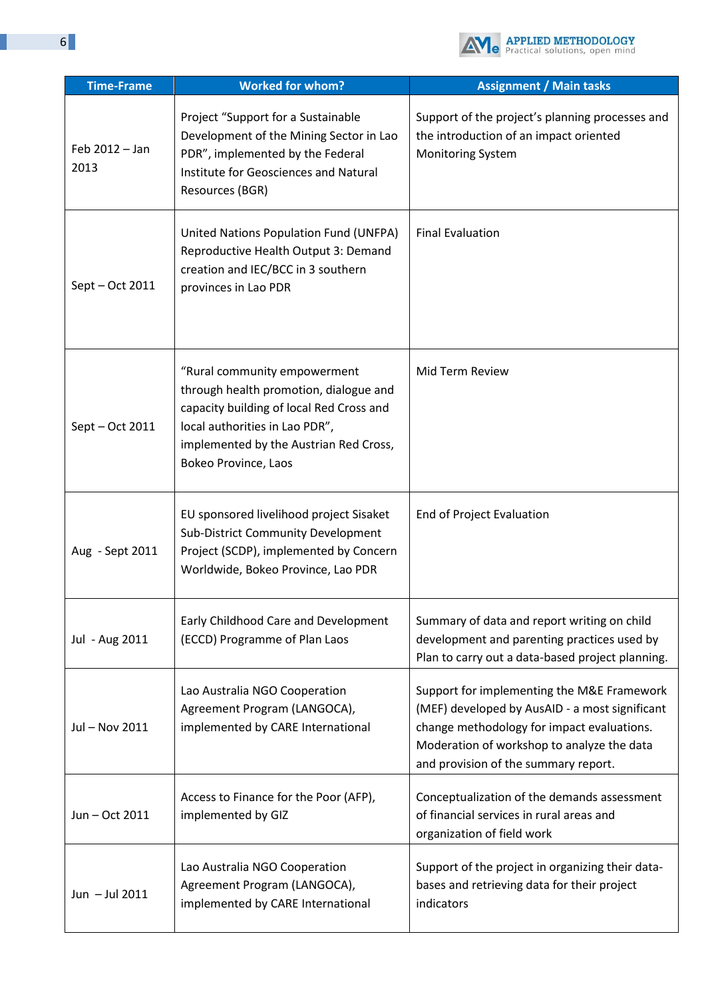

| <b>Time-Frame</b>      | <b>Worked for whom?</b>                                                                                                                                                                                                | <b>Assignment / Main tasks</b>                                                                                                                                                                                                   |
|------------------------|------------------------------------------------------------------------------------------------------------------------------------------------------------------------------------------------------------------------|----------------------------------------------------------------------------------------------------------------------------------------------------------------------------------------------------------------------------------|
| Feb 2012 - Jan<br>2013 | Project "Support for a Sustainable<br>Development of the Mining Sector in Lao<br>PDR", implemented by the Federal<br>Institute for Geosciences and Natural<br>Resources (BGR)                                          | Support of the project's planning processes and<br>the introduction of an impact oriented<br><b>Monitoring System</b>                                                                                                            |
| Sept – Oct 2011        | United Nations Population Fund (UNFPA)<br>Reproductive Health Output 3: Demand<br>creation and IEC/BCC in 3 southern<br>provinces in Lao PDR                                                                           | <b>Final Evaluation</b>                                                                                                                                                                                                          |
| Sept - Oct 2011        | "Rural community empowerment<br>through health promotion, dialogue and<br>capacity building of local Red Cross and<br>local authorities in Lao PDR",<br>implemented by the Austrian Red Cross,<br>Bokeo Province, Laos | Mid Term Review                                                                                                                                                                                                                  |
| Aug - Sept 2011        | EU sponsored livelihood project Sisaket<br><b>Sub-District Community Development</b><br>Project (SCDP), implemented by Concern<br>Worldwide, Bokeo Province, Lao PDR                                                   | End of Project Evaluation                                                                                                                                                                                                        |
| Jul - Aug 2011         | Early Childhood Care and Development<br>(ECCD) Programme of Plan Laos                                                                                                                                                  | Summary of data and report writing on child<br>development and parenting practices used by<br>Plan to carry out a data-based project planning.                                                                                   |
| Jul - Nov 2011         | Lao Australia NGO Cooperation<br>Agreement Program (LANGOCA),<br>implemented by CARE International                                                                                                                     | Support for implementing the M&E Framework<br>(MEF) developed by AusAID - a most significant<br>change methodology for impact evaluations.<br>Moderation of workshop to analyze the data<br>and provision of the summary report. |
| Jun - Oct 2011         | Access to Finance for the Poor (AFP),<br>implemented by GIZ                                                                                                                                                            | Conceptualization of the demands assessment<br>of financial services in rural areas and<br>organization of field work                                                                                                            |
| Jun - Jul 2011         | Lao Australia NGO Cooperation<br>Agreement Program (LANGOCA),<br>implemented by CARE International                                                                                                                     | Support of the project in organizing their data-<br>bases and retrieving data for their project<br>indicators                                                                                                                    |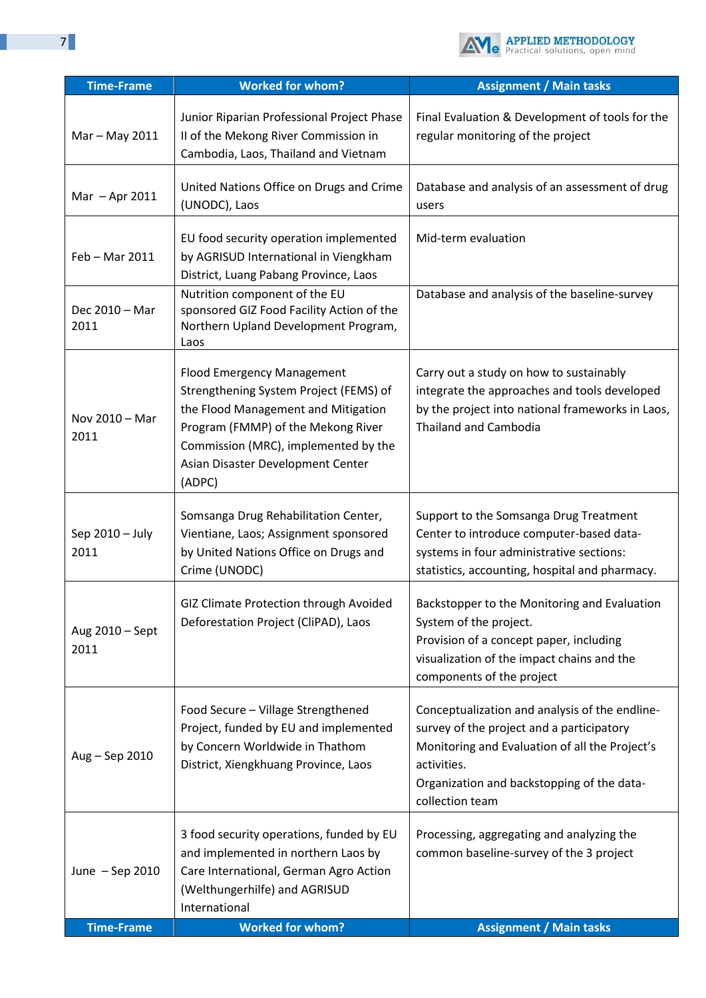

| <b>Time-Frame</b>       | <b>Worked for whom?</b>                                                                                                                                                                                                                         | <b>Assignment / Main tasks</b>                                                                                                                                                                                                |
|-------------------------|-------------------------------------------------------------------------------------------------------------------------------------------------------------------------------------------------------------------------------------------------|-------------------------------------------------------------------------------------------------------------------------------------------------------------------------------------------------------------------------------|
| Mar - May 2011          | Junior Riparian Professional Project Phase<br>II of the Mekong River Commission in<br>Cambodia, Laos, Thailand and Vietnam                                                                                                                      | Final Evaluation & Development of tools for the<br>regular monitoring of the project                                                                                                                                          |
| Mar - Apr 2011          | United Nations Office on Drugs and Crime<br>(UNODC), Laos                                                                                                                                                                                       | Database and analysis of an assessment of drug<br>users                                                                                                                                                                       |
| Feb - Mar 2011          | EU food security operation implemented<br>by AGRISUD International in Viengkham<br>District, Luang Pabang Province, Laos                                                                                                                        | Mid-term evaluation                                                                                                                                                                                                           |
| Dec 2010 - Mar<br>2011  | Nutrition component of the EU<br>sponsored GIZ Food Facility Action of the<br>Northern Upland Development Program,<br>Laos                                                                                                                      | Database and analysis of the baseline-survey                                                                                                                                                                                  |
| Nov 2010 - Mar<br>2011  | <b>Flood Emergency Management</b><br>Strengthening System Project (FEMS) of<br>the Flood Management and Mitigation<br>Program (FMMP) of the Mekong River<br>Commission (MRC), implemented by the<br>Asian Disaster Development Center<br>(ADPC) | Carry out a study on how to sustainably<br>integrate the approaches and tools developed<br>by the project into national frameworks in Laos,<br><b>Thailand and Cambodia</b>                                                   |
| Sep 2010 - July<br>2011 | Somsanga Drug Rehabilitation Center,<br>Vientiane, Laos; Assignment sponsored<br>by United Nations Office on Drugs and<br>Crime (UNODC)                                                                                                         | Support to the Somsanga Drug Treatment<br>Center to introduce computer-based data-<br>systems in four administrative sections:<br>statistics, accounting, hospital and pharmacy.                                              |
| Aug 2010 - Sept<br>2011 | GIZ Climate Protection through Avoided<br>Deforestation Project (CliPAD), Laos                                                                                                                                                                  | Backstopper to the Monitoring and Evaluation<br>System of the project.<br>Provision of a concept paper, including<br>visualization of the impact chains and the<br>components of the project                                  |
| Aug - Sep 2010          | Food Secure - Village Strengthened<br>Project, funded by EU and implemented<br>by Concern Worldwide in Thathom<br>District, Xiengkhuang Province, Laos                                                                                          | Conceptualization and analysis of the endline-<br>survey of the project and a participatory<br>Monitoring and Evaluation of all the Project's<br>activities.<br>Organization and backstopping of the data-<br>collection team |
| June - Sep 2010         | 3 food security operations, funded by EU<br>and implemented in northern Laos by<br>Care International, German Agro Action<br>(Welthungerhilfe) and AGRISUD<br>International                                                                     | Processing, aggregating and analyzing the<br>common baseline-survey of the 3 project                                                                                                                                          |
| <b>Time-Frame</b>       | <b>Worked for whom?</b>                                                                                                                                                                                                                         | <b>Assignment / Main tasks</b>                                                                                                                                                                                                |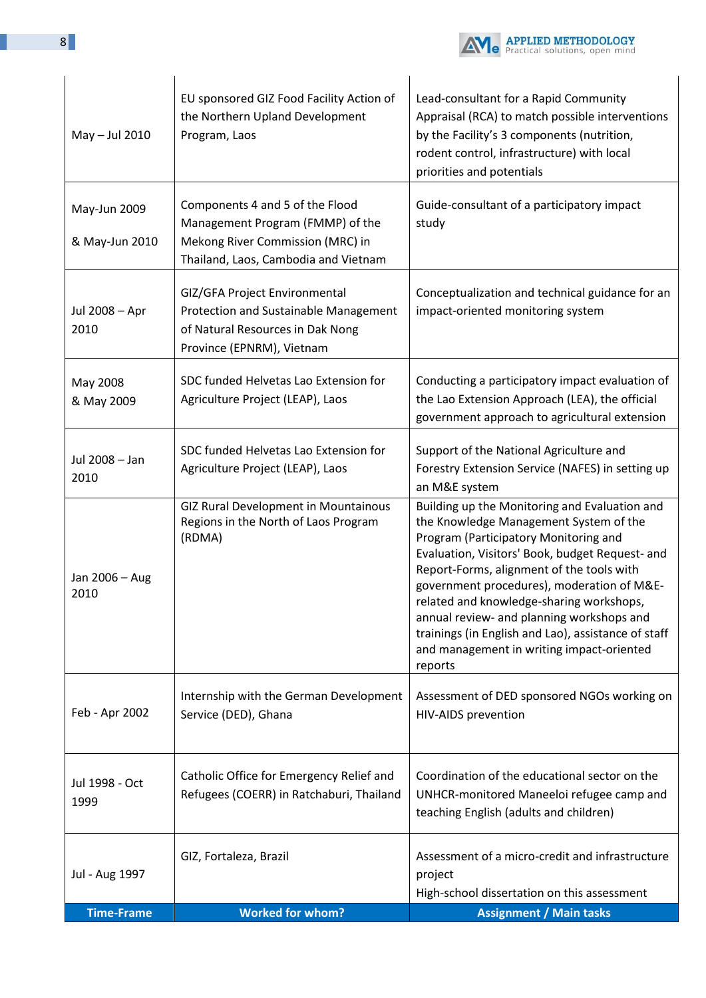

| May - Jul 2010                 | EU sponsored GIZ Food Facility Action of<br>the Northern Upland Development<br>Program, Laos                                                    | Lead-consultant for a Rapid Community<br>Appraisal (RCA) to match possible interventions<br>by the Facility's 3 components (nutrition,<br>rodent control, infrastructure) with local<br>priorities and potentials                                                                                                                                                                                                                                                                      |
|--------------------------------|-------------------------------------------------------------------------------------------------------------------------------------------------|----------------------------------------------------------------------------------------------------------------------------------------------------------------------------------------------------------------------------------------------------------------------------------------------------------------------------------------------------------------------------------------------------------------------------------------------------------------------------------------|
| May-Jun 2009<br>& May-Jun 2010 | Components 4 and 5 of the Flood<br>Management Program (FMMP) of the<br>Mekong River Commission (MRC) in<br>Thailand, Laos, Cambodia and Vietnam | Guide-consultant of a participatory impact<br>study                                                                                                                                                                                                                                                                                                                                                                                                                                    |
| Jul 2008 - Apr<br>2010         | GIZ/GFA Project Environmental<br>Protection and Sustainable Management<br>of Natural Resources in Dak Nong<br>Province (EPNRM), Vietnam         | Conceptualization and technical guidance for an<br>impact-oriented monitoring system                                                                                                                                                                                                                                                                                                                                                                                                   |
| May 2008<br>& May 2009         | SDC funded Helvetas Lao Extension for<br>Agriculture Project (LEAP), Laos                                                                       | Conducting a participatory impact evaluation of<br>the Lao Extension Approach (LEA), the official<br>government approach to agricultural extension                                                                                                                                                                                                                                                                                                                                     |
| Jul 2008 - Jan<br>2010         | SDC funded Helvetas Lao Extension for<br>Agriculture Project (LEAP), Laos                                                                       | Support of the National Agriculture and<br>Forestry Extension Service (NAFES) in setting up<br>an M&E system                                                                                                                                                                                                                                                                                                                                                                           |
| Jan 2006 - Aug<br>2010         | <b>GIZ Rural Development in Mountainous</b><br>Regions in the North of Laos Program<br>(RDMA)                                                   | Building up the Monitoring and Evaluation and<br>the Knowledge Management System of the<br>Program (Participatory Monitoring and<br>Evaluation, Visitors' Book, budget Request- and<br>Report-Forms, alignment of the tools with<br>government procedures), moderation of M&E-<br>related and knowledge-sharing workshops,<br>annual review- and planning workshops and<br>trainings (in English and Lao), assistance of staff<br>and management in writing impact-oriented<br>reports |
| Feb - Apr 2002                 | Internship with the German Development<br>Service (DED), Ghana                                                                                  | Assessment of DED sponsored NGOs working on<br>HIV-AIDS prevention                                                                                                                                                                                                                                                                                                                                                                                                                     |
| Jul 1998 - Oct<br>1999         | Catholic Office for Emergency Relief and<br>Refugees (COERR) in Ratchaburi, Thailand                                                            | Coordination of the educational sector on the<br>UNHCR-monitored Maneeloi refugee camp and<br>teaching English (adults and children)                                                                                                                                                                                                                                                                                                                                                   |
| Jul - Aug 1997                 | GIZ, Fortaleza, Brazil                                                                                                                          | Assessment of a micro-credit and infrastructure<br>project<br>High-school dissertation on this assessment                                                                                                                                                                                                                                                                                                                                                                              |
| <b>Time-Frame</b>              | <b>Worked for whom?</b>                                                                                                                         | <b>Assignment / Main tasks</b>                                                                                                                                                                                                                                                                                                                                                                                                                                                         |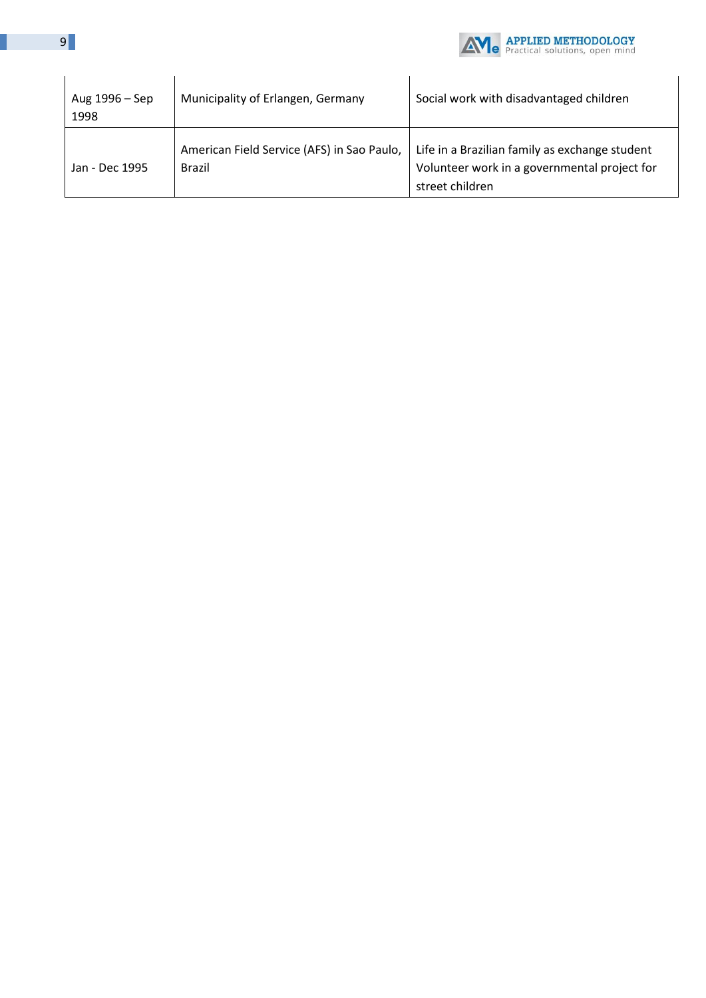

| Aug 1996 – Sep<br>1998 | Municipality of Erlangen, Germany                           | Social work with disadvantaged children                                                                           |
|------------------------|-------------------------------------------------------------|-------------------------------------------------------------------------------------------------------------------|
| Jan - Dec 1995         | American Field Service (AFS) in Sao Paulo,<br><b>Brazil</b> | Life in a Brazilian family as exchange student<br>Volunteer work in a governmental project for<br>street children |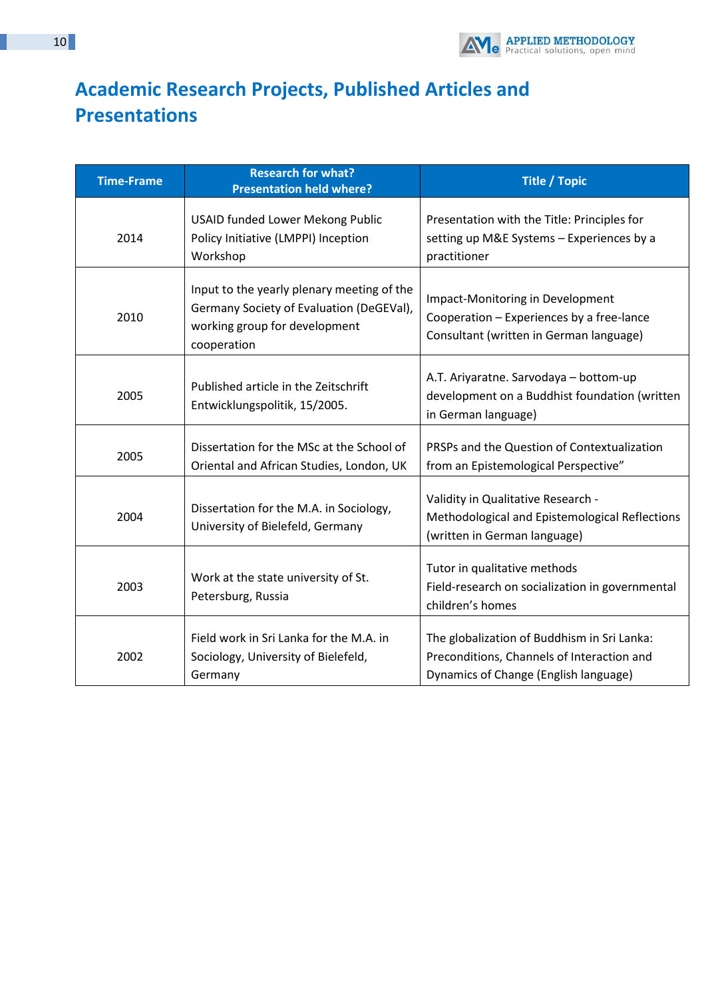

# **Academic Research Projects, Published Articles and Presentations**

| <b>Time-Frame</b> | <b>Research for what?</b><br><b>Presentation held where?</b>                                                                           | <b>Title / Topic</b>                                                                                                               |
|-------------------|----------------------------------------------------------------------------------------------------------------------------------------|------------------------------------------------------------------------------------------------------------------------------------|
| 2014              | <b>USAID funded Lower Mekong Public</b><br>Policy Initiative (LMPPI) Inception<br>Workshop                                             | Presentation with the Title: Principles for<br>setting up M&E Systems - Experiences by a<br>practitioner                           |
| 2010              | Input to the yearly plenary meeting of the<br>Germany Society of Evaluation (DeGEVal),<br>working group for development<br>cooperation | Impact-Monitoring in Development<br>Cooperation - Experiences by a free-lance<br>Consultant (written in German language)           |
| 2005              | Published article in the Zeitschrift<br>Entwicklungspolitik, 15/2005.                                                                  | A.T. Ariyaratne. Sarvodaya - bottom-up<br>development on a Buddhist foundation (written<br>in German language)                     |
| 2005              | Dissertation for the MSc at the School of<br>Oriental and African Studies, London, UK                                                  | PRSPs and the Question of Contextualization<br>from an Epistemological Perspective"                                                |
| 2004              | Dissertation for the M.A. in Sociology,<br>University of Bielefeld, Germany                                                            | Validity in Qualitative Research -<br>Methodological and Epistemological Reflections<br>(written in German language)               |
| 2003              | Work at the state university of St.<br>Petersburg, Russia                                                                              | Tutor in qualitative methods<br>Field-research on socialization in governmental<br>children's homes                                |
| 2002              | Field work in Sri Lanka for the M.A. in<br>Sociology, University of Bielefeld,<br>Germany                                              | The globalization of Buddhism in Sri Lanka:<br>Preconditions, Channels of Interaction and<br>Dynamics of Change (English language) |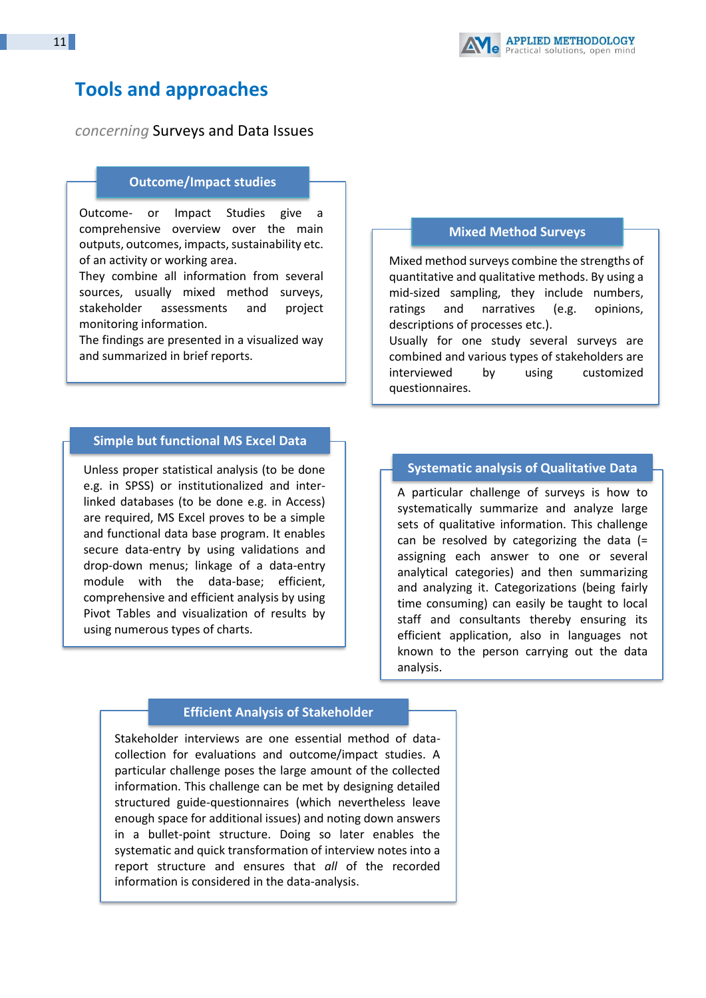

# **Tools and approaches**

*concerning* Surveys and Data Issues

#### **Outcome/Impact studies**

Outcome- or Impact Studies give a comprehensive overview over the main outputs, outcomes, impacts, sustainability etc. of an activity or working area.

They combine all information from several sources, usually mixed method surveys, stakeholder assessments and project monitoring information.

The findings are presented in a visualized way and summarized in brief reports.

### **Simple but functional MS Excel Data**

**bases** Unless proper statistical analysis (to be done e.g. in SPSS) or institutionalized and interlinked databases (to be done e.g. in Access) are required, MS Excel proves to be a simple and functional data base program. It enables secure data-entry by using validations and drop-down menus; linkage of a data-entry module with the data-base; efficient, comprehensive and efficient analysis by using Pivot Tables and visualization of results by using numerous types of charts.

#### **Mixed Method Surveys**

Mixed method surveys combine the strengths of quantitative and qualitative methods. By using a mid-sized sampling, they include numbers, ratings and narratives (e.g. opinions, descriptions of processes etc.).

Usually for one study several surveys are combined and various types of stakeholders are interviewed by using customized questionnaires.

### **Systematic analysis of Qualitative Data**

A particular challenge of surveys is how to systematically summarize and analyze large sets of qualitative information. This challenge can be resolved by categorizing the data (= assigning each answer to one or several analytical categories) and then summarizing and analyzing it. Categorizations (being fairly time consuming) can easily be taught to local staff and consultants thereby ensuring its efficient application, also in languages not known to the person carrying out the data analysis.

#### **Efficient Analysis of Stakeholder**

**Interviews** Stakeholder interviews are one essential method of datacollection for evaluations and outcome/impact studies. A particular challenge poses the large amount of the collected information. This challenge can be met by designing detailed structured guide-questionnaires (which nevertheless leave enough space for additional issues) and noting down answers in a bullet-point structure. Doing so later enables the systematic and quick transformation of interview notes into a report structure and ensures that *all* of the recorded information is considered in the data-analysis.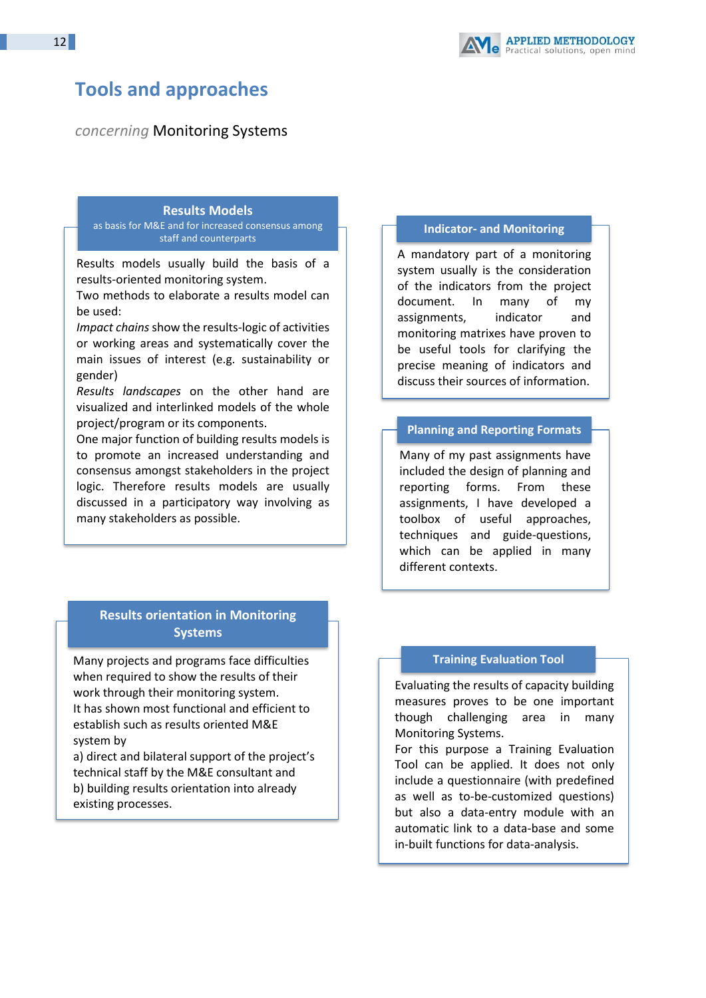# **Tools and approaches**

*concerning* Monitoring Systems

#### **Results Models**

as basis for M&E and for increased consensus among staff and counterparts

Results models usually build the basis of a results-oriented monitoring system.

Two methods to elaborate a results model can be used:

pact chans show the results regio or det or working areas and systematically cover the main issues of interest (e.g. sustainability or *Impact chains* show the results-logic of activities gender)

*Results landscapes* on the other hand are visualized and interlinked models of the whole project/program or its components.

One major function of building results models is to promote an increased understanding and consensus amongst stakeholders in the project logic. Therefore results models are usually discussed in a participatory way involving as many stakeholders as possible.

# **Results orientation in Monitoring Systems**

Many projects and programs face difficulties when required to show the results of their work through their monitoring system. It has shown most functional and efficient to establish such as results oriented M&E system by

a) direct and bilateral support of the project's technical staff by the M&E consultant and b) building results orientation into already existing processes.

If successfully implemented, this approach

### **Indicator- and Monitoring**

**Matrixes**<br>A mandatory part of a monitoring system usually is the consideration of the indicators from the project document. In many of my assignments, indicator and monitoring matrixes have proven to be useful tools for clarifying the precise meaning of indicators and discuss their sources of information.

# **Planning and Reporting Formats**

Many of my past assignments have included the design of planning and reporting forms. From these assignments, I have developed a toolbox of useful approaches, techniques and guide-questions, which can be applied in many different contexts.

## **Training Evaluation Tool**

Evaluating the results of capacity building measures proves to be one important though challenging area in many Monitoring Systems.

For this purpose a Training Evaluation Tool can be applied. It does not only include a questionnaire (with predefined as well as to-be-customized questions) but also a data-entry module with an automatic link to a data-base and some in-built functions for data-analysis.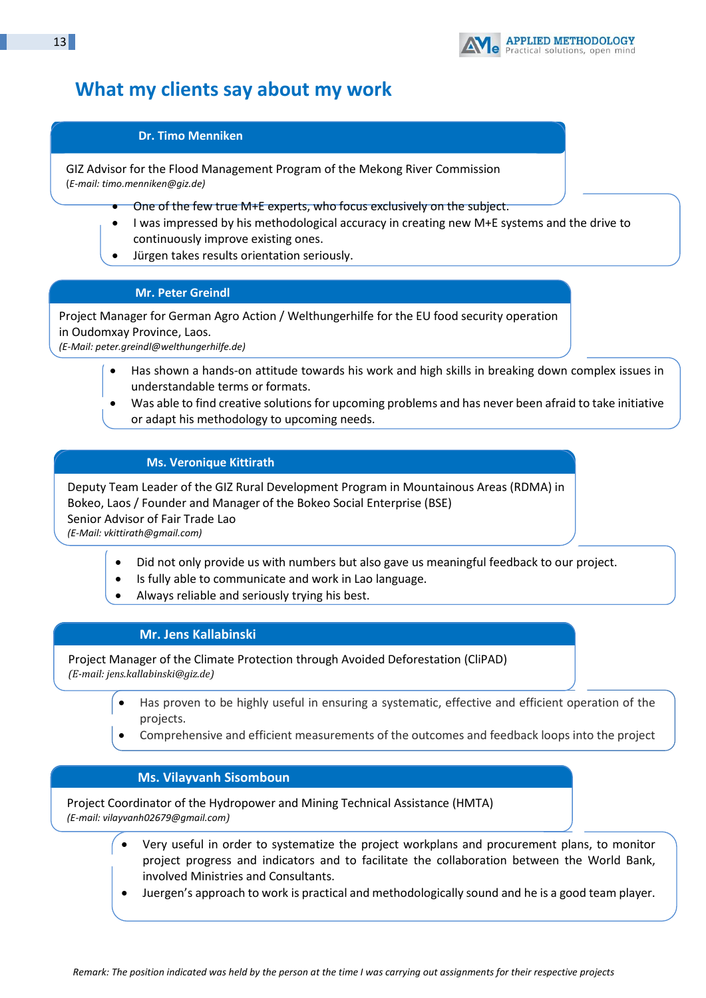

# **What my clients say about my work**

## **Dr. Timo Menniken**

GIZ Advisor for the Flood Management Program of the Mekong River Commission (*E-mail: timo.menniken@giz.de)*

- One of the few true M+E experts, who focus exclusively on the subject.
- I was impressed by his methodological accuracy in creating new M+E systems and the drive to continuously improve existing ones.
- Jürgen takes results orientation seriously.

## **Mr. Peter Greindl**

Project Manager for German Agro Action / Welthungerhilfe for the EU food security operation in Oudomxay Province, Laos. *(E-Mail[: peter.greindl@welthungerhilfe.de\)](mailto:peter.greindl@welthungerhilfe.de)*

• Has shown a hands-on attitude towards his work and high skills in breaking down complex issues in understandable terms or formats.

• Was able to find creative solutions for upcoming problems and has never been afraid to take initiative or adapt his methodology to upcoming needs.

## **Ms. Veronique Kittirath**

Deputy Team Leader of the GIZ Rural Development Program in Mountainous Areas (RDMA) in Bokeo, Laos / Founder and Manager of the Bokeo Social Enterprise (BSE) Senior Advisor of Fair Trade Lao *(E-Mail[: vkittirath@gmail.com\)](mailto:vkittirath@gmail.com)*

- Did not only provide us with numbers but also gave us meaningful feedback to our project.
- Is fully able to communicate and work in Lao language.
- Always reliable and seriously trying his best.

## **Mr. Jens Kallabinski**

Project Manager of the Climate Protection through Avoided Deforestation (CliPAD) *(E-mail[: jens.kallabinski@giz.de\)](mailto:jens.kallabinski@giz.de)*

- Has proven to be highly useful in ensuring a systematic, effective and efficient operation of the projects.
- Comprehensive and efficient measurements of the outcomes and feedback loops into the project

## **Ms. Vilayvanh Sisomboun**

management.<br>Management.

Project Coordinator of the Hydropower and Mining Technical Assistance (HMTA) *(E-mail[: vilayvanh02679@gmail.com](mailto:vilayvanh02679@gmail.com))*

- Very useful in order to systematize the project workplans and procurement plans, to monitor project progress and indicators and to facilitate the collaboration between the World Bank, involved Ministries and Consultants.
- Juergen's approach to work is practical and methodologically sound and he is a good team player.